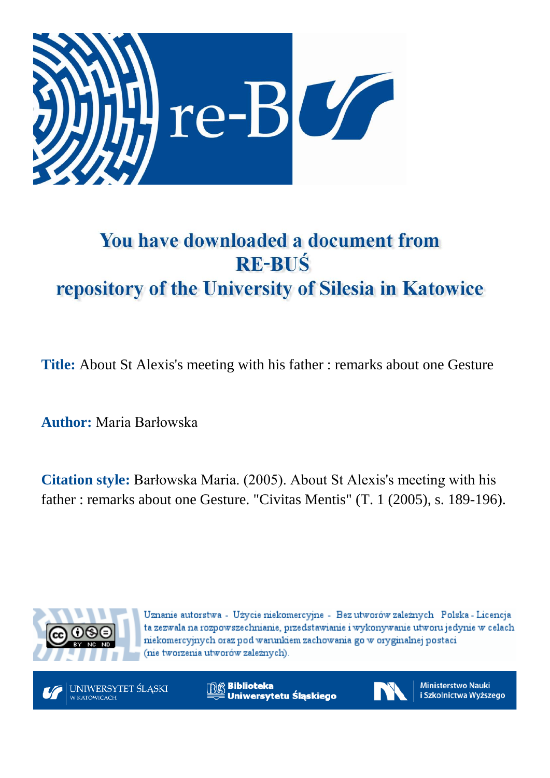

# You have downloaded a document from **RE-BUŚ** repository of the University of Silesia in Katowice

**Title:** About St Alexis's meeting with his father : remarks about one Gesture

**Author:** Maria Barłowska

**Citation style:** Barłowska Maria. (2005). About St Alexis's meeting with his father : remarks about one Gesture. "Civitas Mentis" (T. 1 (2005), s. 189-196).



Uznanie autorstwa - Użycie niekomercyjne - Bez utworów zależnych Polska - Licencja ta zezwala na rozpowszechnianie, przedstawianie i wykonywanie utworu jedynie w celach niekomercyjnych oraz pod warunkiem zachowania go w oryginalnej postaci (nie tworzenia utworów zależnych).



**Biblioteka** Uniwersytetu Śląskiego



**Ministerstwo Nauki** i Szkolnictwa Wyższego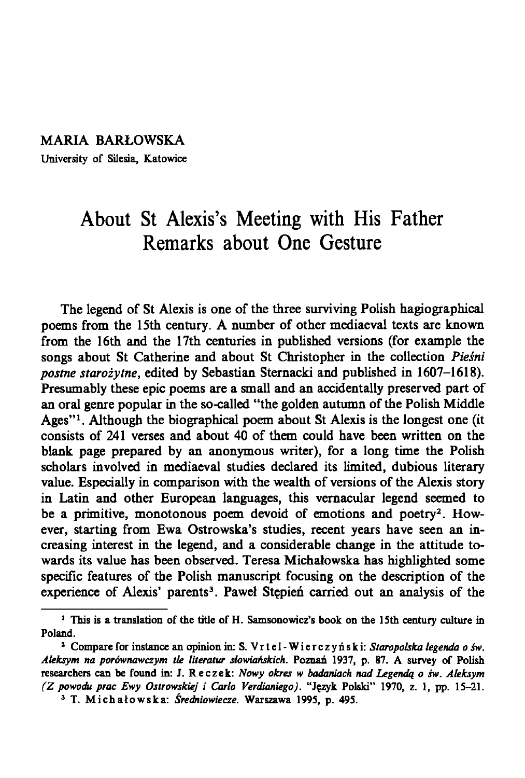### MARIA BARŁOWSKA

University of Silesia, Katowice

# **About St Alexis's Meeting with His Father Remarks about One Gesture**

The legend of St Alexis is one of the three surviving Polish hagiographical poems from the 15th century. A number of other mediaeval texts are known from the 16th and the 17th centuries in published versions (for example the songs about St Catherine and about St Christopher in the collection *Pieśni postne starożytne,* edited by Sebastian Sternacki and published in 1607-1618). Presumably these epic poems are a small and an accidentally preserved part of an oral genre popular in the so-called "the golden autumn of the Polish Middle Ages"<sup>1</sup>. Although the biographical poem about St Alexis is the longest one (it consists of 241 verses and about 40 of them could have been written on the blank page prepared by an anonymous writer), for a long time the Polish scholars involved in mediaeval studies declared its limited, dubious literary value. Especially in comparison with the wealth of versions of the Alexis story in Latin and other European languages, this vernacular legend seemed to be a primitive, monotonous poem devoid of emotions and poetry<sup>2</sup>. However, starting from Ewa Ostrowska's studies, recent years have seen an increasing interest in the legend, and a considerable change in the attitude towards its value has been observed. Teresa Michałowska has highlighted some specific features of the Polish manuscript focusing on the description of the experience of Alexis' parents<sup>3</sup>. Paweł Stępień carried out an analysis of the

<sup>1</sup> This is a translation of the title of H. Samsonowicz's book on the 15th century culture in Poland.

*<sup>1</sup>* Compare for instance an opinion in: S. Vrtel-Wierczynski: *Staropolska legenda o św. Aleksym na porównawczym tle literatur słowiańskich.* Poznań 1937, p. 87. A survey of Polish researchers can be found in: J. Reczek: *Nowy okres* tv *badaniach nad Legendą o św. Aleksym (Z powodu prac Ewy Ostrowskiej i Carlo Verdianiego).* "Język Polski" 1970, z. 1, pp. 15-21. 3 T. Michałowska: *Średniowiecze.* Warszawa 1995, p. 495.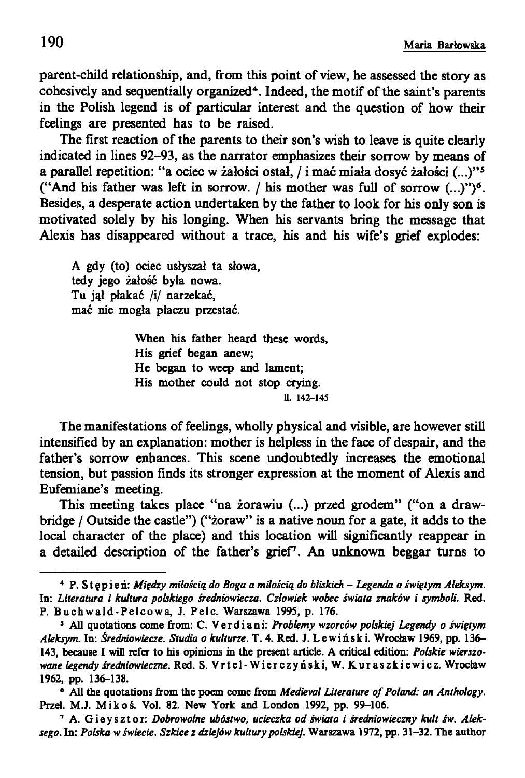parent-child relationship, and, from this point of view, he assessed the story as cohesively and sequentially organized<sup>4</sup>. Indeed, the motif of the saint's parents in the Polish legend is of particular interest and the question of how their feelings are presented has to be raised.

The first reaction of the parents to their son's wish to leave is quite clearly indicated in lines 92-93, as the narrator emphasizes their sorrow by means of a parallel repetition: "a ociec w żałości ostał, / i mać miała dosyć żałości (...)" s ("And his father was left in sorrow. / his mother was full of sorrow  $(...)^n$ <sup>o</sup>. Besides, a desperate action undertaken by the father to look for his only son is motivated solely by his longing. When his servants bring the message that Alexis has disappeared without a trace, his and his wife's grief explodes:

A gdy (to) ociec usłyszał ta słowa, tedy jego żałość była nowa. Tu jął płakać /i/ narzekać, m ać nie m ogła płaczu przestać.

> When his father heard these words, His grief began anew; He began to weep and lament; His mother could not stop crying. 11. 142-145

The manifestations of feelings, wholly physical and visible, are however still intensified by an explanation: mother is helpless in the face of despair, and the father's sorrow enhances. This scene undoubtedly increases the emotional tension, but passion finds its stronger expression at the moment of Alexis and Eufemiane's meeting.

This meeting takes place "na żorawiu (...) przed grodem" ("on a drawbridge *I* Outside the castle") ("żoraw" is a native noun for a gate, it adds to the local character of the place) and this location will significantly reappear in a detailed description of the father's grief7. An unknown beggar turns to

<sup>4</sup> P. S t ę p i e ń: *Między miłością do Boga a miłością do bliskich - Legenda o świętym Aleksym.* In: *Literatura i kultura polskiego średniowiecza. Człowiek wobec świata znaków i symboli.* Red. P. Buchwald-Pelcowa, J. Pelc. Warszawa 1995, p. 176.

s All quotations come from: C. V e r d i ani: *Problemy wzorców polskiej Legendy o świętym Aleksym.* In: *Średniowiecze. Studia o kulturze.* T. 4. Red. J. Lewiński. Wrocław 1969, pp. 136— 143, because I will refer to his opinions in the present article. A critical edition: *Polskie wierszowane legendy średniowieczne.* Red. S. V r t e l - W i e r c z y ń s k i , W. K u r a s z k i e w i c z . Wroclaw 1962, pp. 136-138.

<sup>&</sup>lt;sup>6</sup> All the quotations from the poem come from *Medieval Literature of Poland: an Anthology*. Przeł. M.J. Mikoś. Vol. 82. New York and London 1992, pp. 99-106.

<sup>7</sup> A. Gieysztor: *Dobrowolne ubóstwo, ucieczka od świata i średniowieczny kult św. Aleksego.* In: *Polska w świecie. Szkice z dziejów kultury polskiej.* Warszawa 1972, pp. 31-32. The author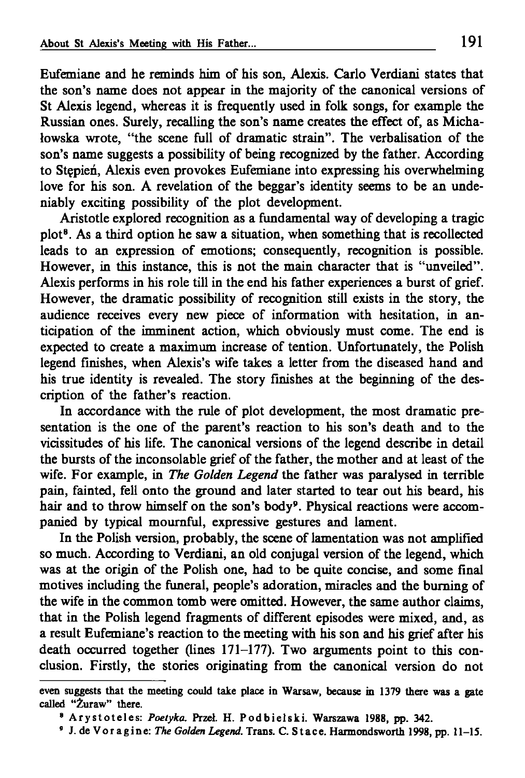Eufemiane and he reminds him of his son, Alexis. Carlo Verdiani states that the son's name does not appear in the majority of the canonical versions of St Alexis legend, whereas it is frequently used in folk songs, for example the Russian ones. Surely, recalling the son's name creates the effect of, as Michałowska wrote, "the scene full of dramatic strain". The verbalisation of the son's name suggests a possibility of being recognized by the father. According to Stępień, Alexis even provokes Eufemiane into expressing his overwhelming love for his son. A revelation of the beggar's identity seems to be an undeniably exciting possibility of the plot development.

Aristotle explored recognition as a fundamental way of developing a tragic plot8. As a third option he saw a situation, when something that is recollected leads to an expression of emotions; consequently, recognition is possible. However, in this instance, this is not the main character that is "unveiled". Alexis performs in his role till in the end his father experiences a burst of grief. However, the dramatic possibility of recognition still exists in the story, the audience receives every new piece of information with hesitation, in anticipation of the imminent action, which obviously must come. The end is expected to create a maximum increase of tention. Unfortunately, the Polish legend finishes, when Alexis's wife takes a letter from the diseased hand and his true identity is revealed. The story finishes at the beginning of the description of the father's reaction.

In accordance with the rule of plot development, the most dramatic presentation is the one of the parent's reaction to his son's death and to the vicissitudes of his life. The canonical versions of the legend describe in detail the bursts of the inconsolable grief of the father, the mother and at least of the wife. For example, in *The Golden Legend* the father was paralysed in terrible pain, fainted, fell onto the ground and later started to tear out his beard, his hair and to throw himself on the son's body<sup>9</sup>. Physical reactions were accompanied by typical mournful, expressive gestures and lament.

In the Polish version, probably, the scene of lamentation was not amplified so much. According to Verdiani, an old conjugal version of the legend, which was at the origin of the Polish one, had to be quite concise, and some final motives including the funeral, people's adoration, miracles and the burning of the wife in the common tomb were omitted. However, the same author claims, that in the Polish legend fragments of different episodes were mixed, and, as a result Eufemiane's reaction to the meeting with his son and his grief after his death occurred together (lines 171-177). Two arguments point to this conclusion. Firstly, the stories originating from the canonical version do not

even suggests that the meeting could take place in Warsaw, because in 1379 there was a gate called "Żuraw" there.

<sup>8</sup> Arystoteles: *Poetyka.* Przeł. H. Podbielski. Warszawa 1988, pp. 342.

*<sup>9</sup>* J. de Voragine: *The Golden Legend.* Trans. C. Stace. Harmondsworth 1998, pp. 11-15.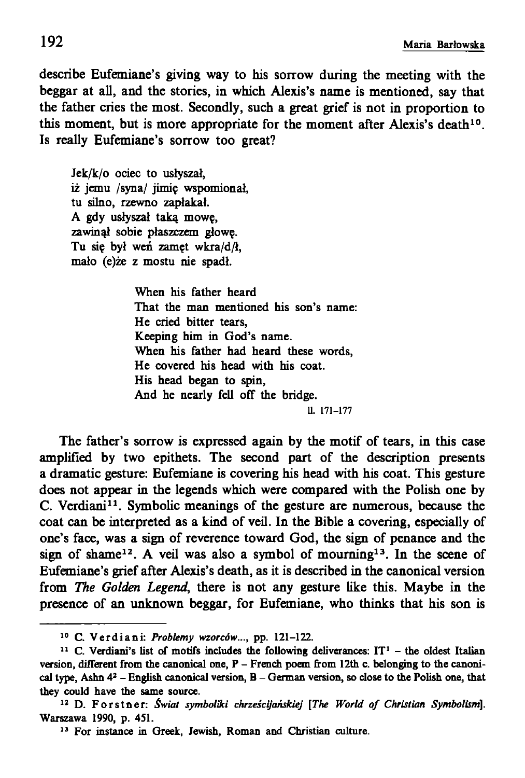describe Eufemiane's giving way to his sorrow during the meeting with the beggar at all, and the stories, in which Alexis's name is mentioned, say that the father cries the most. Secondly, such a great grief is not in proportion to this moment, but is more appropriate for the moment after Alexis's death<sup>10</sup>. Is really Eufemiane's sorrow too great?

Jek/k/o ociec to usłyszał, iż jemu /syna/ jimię wspomionał, tu silno, rzewno zapłakał. A gdy usłyszał taką mowę, zawinął sobie płaszczem głowę. Tu się był weń zamęt wkra/d/ł, mało (e)że z mostu nie spadł.

> When his father heard That the man mentioned his son's name: He cried bitter tears, Keeping him in God's name. When his father had heard these words, He covered his head with his coat. His head began to spin, And he nearly fell off the bridge. 11. 171-177

The father's sorrow is expressed again by the motif of tears, in this case amplified by two epithets. The second part of the description presents a dramatic gesture: Eufemiane is covering his head with his coat. This gesture does not appear in the legends which were compared with the Polish one by C. Verdiani11. Symbolic meanings of the gesture are numerous, because the coat can be interpreted as a kind of veil. In the Bible a covering, especially of one's face, was a sign of reverence toward God, the sign of penance and the sign of shame<sup>12</sup>. A veil was also a symbol of mourning<sup>13</sup>. In the scene of Eufemiane's grief after Alexis's death, as it is described in the canonical version from *The Golden Legend,* there is not any gesture like this. Maybe in the presence of an unknown beggar, for Eufemiane, who thinks that his son is

<sup>10</sup> C. Verdiani: *Problemy wzorców...,* pp. 121-122.

<sup>&</sup>lt;sup>11</sup> C. Verdiani's list of motifs includes the following deliverances:  $IT<sup>1</sup>$  – the oldest Italian version, different from the canonical one, P - French poem from 12th c. belonging to the canonical type, Ashn  $4^2$  - English canonical version,  $B$  - German version, so close to the Polish one, that they could have the same source.

<sup>&</sup>lt;sup>12</sup> D. Forstner: *Świat symboliki chrześcijańskiej* [The World of Christian Symbolism]. Warszawa 1990, p. 451.

<sup>13</sup> For instance in Greek, Jewish, Roman and Christian culture.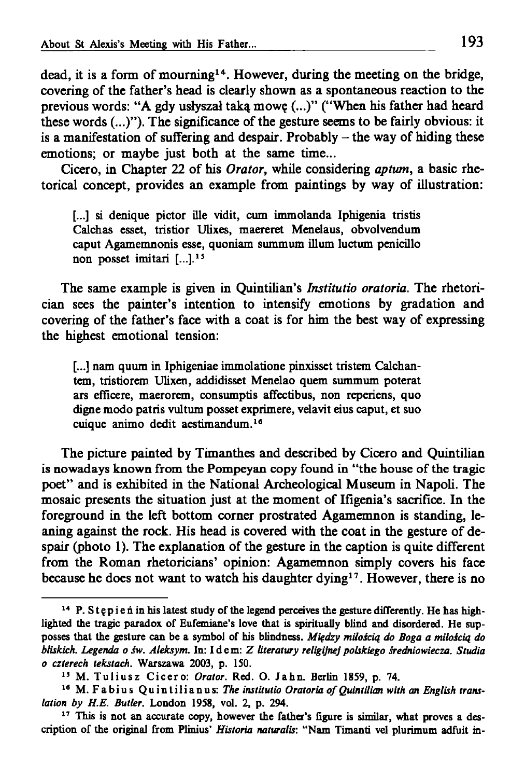dead, it is a form of mourning<sup>14</sup>. However, during the meeting on the bridge, covering of the father's head is clearly shown as a spontaneous reaction to the previous words: "A gdy usłyszał taką mowę (...)" ("When his father had heard these words  $(...)$ "). The significance of the gesture seems to be fairly obvious: it is a manifestation of suffering and despair. Probably  $-$  the way of hiding these emotions; or maybe just both at the same time...

Cicero, in Chapter 22 of his *Orator,* while considering *aptum,* a basic rhetorical concept, provides an example from paintings by way of illustration:

[...] si denique pictor ille vidit, cum immolanda Iphigenia tristis Calchas esset, tristior Ulixes, maereret Menelaus, obvolvendum caput Agamemnonis esse, quoniam summum ilium luctum penicillo non posset imitari [...].<sup>15</sup>

The same example is given in Quintilian's *Institutio oratoria.* The rhetorician sees the painter's intention to intensify emotions by gradation and covering of the father's face with a coat is for him the best way of expressing the highest emotional tension:

[...] nam quum in Iphigeniae immolatione pinxisset tristem Calchantem, tristiorem Ulixen, addidisset Menelao quern summum poterat ars efficere, maerorem, consumptis affectibus, non reperiens, quo digne modo patris vultum posset exprimere, velavit eius caput, et suo cuique animo dedit aestimandum.18

The picture painted by Timanthes and described by Cicero and Quintilian is nowadays known from the Pompeyan copy found in "the house of the tragic poet" and is exhibited in the National Archeological Museum in Napoli. The mosaic presents the situation just at the moment of Ifigenia's sacrifice. In the foreground in the left bottom corner prostrated Agamemnon is standing, leaning against the rock. His head is covered with the coat in the gesture of despair (photo 1). The explanation of the gesture in the caption is quite different from the Roman rhetoricians' opinion: Agamemnon simply covers his face because he does not want to watch his daughter dying<sup>17</sup>. However, there is no

<sup>&</sup>lt;sup>14</sup> P. Stępie ń in his latest study of the legend perceives the gesture differently. He has highlighted the tragic paradox of Eufemiane's love that is spiritually blind and disordered. He supposses that the gesture can be a symbol of his blindness. *Między miłością do Boga a miłością do bliskich. Legenda o* rw. *Aleksym.* In: Idem: Z *literatury religijnej polskiego średniowiecza. Studia o czterech tekstach.* Warszawa 2003, p. ISO.

<sup>15</sup> M. Tuliusz Cicero: *Orator.* Red. O. Jahn. Berlin 1859, p. 74.

<sup>&</sup>lt;sup>16</sup> M. Fabius Quintilianus: The institutio Oratoria of Quintilian with an English trans*lation by H.E. Butler.* London 1958, vol. 2, p. 294.

<sup>&</sup>lt;sup>17</sup> This is not an accurate copy, however the father's figure is similar, what proves a description of the original from Plinius' *Historia naturalis:* "Nam Timanti vel plurimum adfuit in-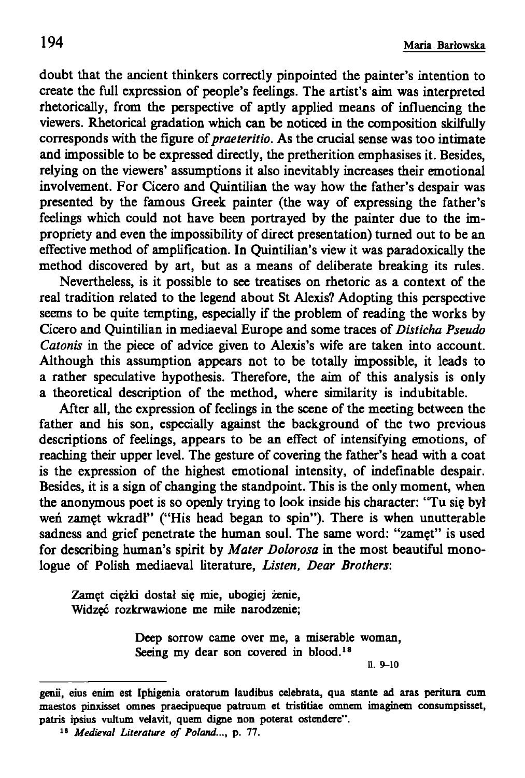doubt that the ancient thinkers correctly pinpointed the painter's intention to create the full expression of people's feelings. The artist's aim was interpreted rhetorically, from the perspective of aptly applied means of influencing the viewers. Rhetorical gradation which can be noticed in the composition skilfully corresponds with the figure of *praeteritio.* As the crucial sense was too intimate and impossible to be expressed directly, the pretherition emphasises it. Besides, relying on the viewers' assumptions it also inevitably increases their emotional involvement. For Cicero and Quintilian the way how the father's despair was presented by the famous Greek painter (the way of expressing the father's feelings which could not have been portrayed by the painter due to the impropriety and even the impossibility of direct presentation) turned out to be an effective method of amplification. In Quintilian's view it was paradoxically the method discovered by art, but as a means of deliberate breaking its rules.

Nevertheless, is it possible to see treatises on rhetoric as a context of the real tradition related to the legend about St Alexis? Adopting this perspective seems to be quite tempting, especially if the problem of reading the works by Cicero and Quintilian in mediaeval Europe and some traces of *Disticha Pseudo Catonis* in the piece of advice given to Alexis's wife are taken into account. Although this assumption appears not to be totally impossible, it leads to a rather speculative hypothesis. Therefore, the aim of this analysis is only a theoretical description of the method, where similarity is indubitable.

After all, the expression of feelings in the scene of the meeting between the father and his son, especially against the background of the two previous descriptions of feelings, appears to be an effect of intensifying emotions, of reaching their upper level. The gesture of covering the father's head with a coat is the expression of the highest emotional intensity, of indefinable despair. Besides, it is a sign of changing the standpoint. This is the only moment, when the anonymous poet is so openly trying to look inside his character: "Tu się był weń zamęt wkradł" ("His head began to spin"). There is when unutterable sadness and grief penetrate the human soul. The same word: "zamęt" is used for describing human's spirit by *Mater Dolorosa* in the most beautiful monologue of Polish mediaeval literature, *Listen, Dear Brothers:*

Zamęt ciężki dostał się mie, ubogiej żenie, Widzęć rozkrwawione me miłe narodzenie;

> Deep sorrow came over me, a miserable woman, Seeing my dear son covered in blood.<sup>18</sup>

11. 9-10

genii, eius enim est Iphigenia oratorum laudibus celebrata, qua stante ad aras peritura cum maestos pinxisset omnes praedpueque patruum et tristitiae omnem imaginem consumpsisset, patris ipsius vultum velavit, quem digne non poterat ostendere" .

<sup>&</sup>lt;sup>18</sup> Medieval Literature of Poland..., p. 77.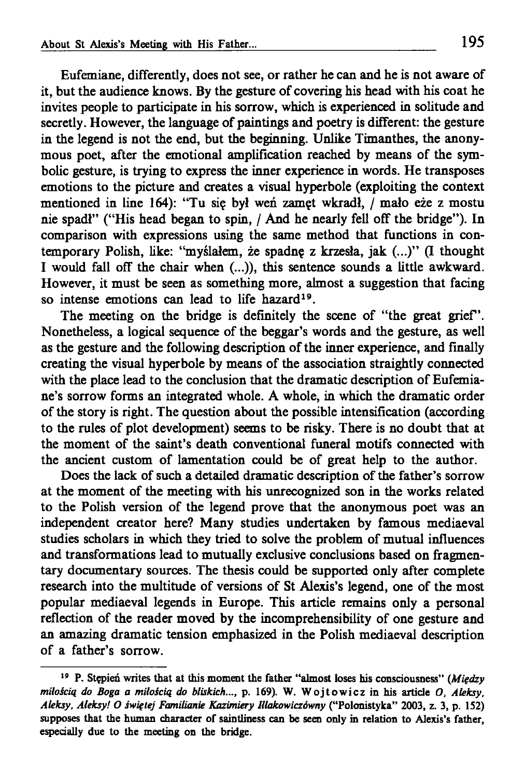Eufemiane, differently, does not see, or rather he can and he is not aware of it, but the audience knows. By the gesture of covering his head with his coat he invites people to participate in his sorrow, which is experienced in solitude and secretly. However, the language of paintings and poetry is different: the gesture in the legend is not the end, but the beginning. Unlike Timanthes, the anonymous poet, after the emotional amplification reached by means of the symbolic gesture, is trying to express the inner experience in words. He transposes emotions to the picture and creates a visual hyperbole (exploiting the context mentioned in line 164): "Tu się był weń zamęt wkradł, / mało eże z mostu nie spadł" ("His head began to spin, / And he nearly fell off the bridge"). In comparison with expressions using the same method that functions in contemporary Polish, like: "myślałem, że spadnę z krzesła, jak (...)" (I thought I would fall off the chair when (...)), this sentence sounds a little awkward. However, it must be seen as something more, almost a suggestion that facing so intense emotions can lead to life hazard<sup>19</sup>.

The meeting on the bridge is definitely the scene of "the great grief'. Nonetheless, a logical sequence of the beggar's words and the gesture, as well as the gesture and the following description of the inner experience, and finally creating the visual hyperbole by means of the association straightly connected with the place lead to the conclusion that the dramatic description of Eufemiane's sorrow forms an integrated whole. A whole, in which the dramatic order of the story is right. The question about the possible intensification (according to the rules of plot development) seems to be risky. There is no doubt that at the moment of the saint's death conventional funeral motifs connected with the ancient custom of lamentation could be of great help to the author.

Does the lack of such a detailed dramatic description of the father's sorrow at the moment of the meeting with his unrecognized son in the works related to the Polish version of the legend prove that the anonymous poet was an independent creator here? Many studies undertaken by famous mediaeval studies scholars in which they tried to solve the problem of mutual influences and transformations lead to mutually exclusive conclusions based on fragmentary documentary sources. The thesis could be supported only after complete research into the multitude of versions of St Alexis's legend, one of the most popular mediaeval legends in Europe. This article remains only a personal reflection of the reader moved by the incomprehensibility of one gesture and an amazing dramatic tension emphasized in the Polish mediaeval description of a father's sorrow.

<sup>19</sup> P. Stępień writes that at this moment the father "almost loses his consciousness" *(Między miłością do Boga a miłością do bliskich...,* p. 169). W. Wojtowicz in his article *O, Aleksy, Aleksy, Aleksy! O świętej Familianie Kazimiery Illakowiczówny* ("Polonistyka" 2003, z. 3, p. 152) supposes that the human character of saintliness can be seen only in relation to Alexis's father, especially due to the meeting on the bridge.